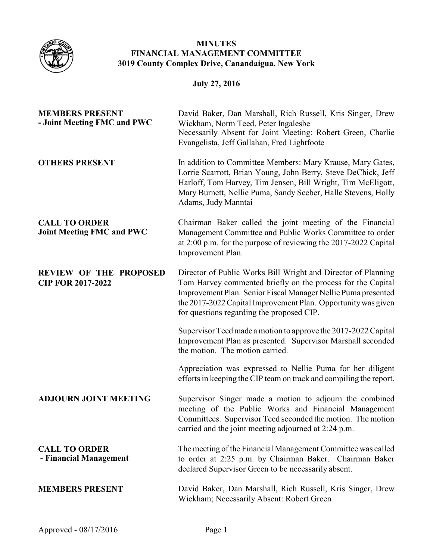

## **MINUTES FINANCIAL MANAGEMENT COMMITTEE 3019 County Complex Drive, Canandaigua, New York**

## **July 27, 2016**

| <b>MEMBERS PRESENT</b><br>- Joint Meeting FMC and PWC     | David Baker, Dan Marshall, Rich Russell, Kris Singer, Drew<br>Wickham, Norm Teed, Peter Ingalesbe<br>Necessarily Absent for Joint Meeting: Robert Green, Charlie<br>Evangelista, Jeff Gallahan, Fred Lightfoote                                                                                             |
|-----------------------------------------------------------|-------------------------------------------------------------------------------------------------------------------------------------------------------------------------------------------------------------------------------------------------------------------------------------------------------------|
| <b>OTHERS PRESENT</b>                                     | In addition to Committee Members: Mary Krause, Mary Gates,<br>Lorrie Scarrott, Brian Young, John Berry, Steve DeChick, Jeff<br>Harloff, Tom Harvey, Tim Jensen, Bill Wright, Tim McEligott,<br>Mary Burnett, Nellie Puma, Sandy Seeber, Halle Stevens, Holly<br>Adams, Judy Manntai                         |
| <b>CALL TO ORDER</b><br><b>Joint Meeting FMC and PWC</b>  | Chairman Baker called the joint meeting of the Financial<br>Management Committee and Public Works Committee to order<br>at 2:00 p.m. for the purpose of reviewing the 2017-2022 Capital<br>Improvement Plan.                                                                                                |
| <b>REVIEW OF THE PROPOSED</b><br><b>CIP FOR 2017-2022</b> | Director of Public Works Bill Wright and Director of Planning<br>Tom Harvey commented briefly on the process for the Capital<br>Improvement Plan. Senior Fiscal Manager Nellie Puma presented<br>the 2017-2022 Capital Improvement Plan. Opportunity was given<br>for questions regarding the proposed CIP. |
|                                                           | Supervisor Teed made a motion to approve the 2017-2022 Capital<br>Improvement Plan as presented. Supervisor Marshall seconded<br>the motion. The motion carried.                                                                                                                                            |
|                                                           | Appreciation was expressed to Nellie Puma for her diligent<br>efforts in keeping the CIP team on track and compiling the report.                                                                                                                                                                            |
| <b>ADJOURN JOINT MEETING</b>                              | Supervisor Singer made a motion to adjourn the combined<br>meeting of the Public Works and Financial Management<br>Committees. Supervisor Teed seconded the motion. The motion<br>carried and the joint meeting adjourned at 2:24 p.m.                                                                      |
| <b>CALL TO ORDER</b><br>- Financial Management            | The meeting of the Financial Management Committee was called<br>to order at 2:25 p.m. by Chairman Baker. Chairman Baker<br>declared Supervisor Green to be necessarily absent.                                                                                                                              |
| <b>MEMBERS PRESENT</b>                                    | David Baker, Dan Marshall, Rich Russell, Kris Singer, Drew<br>Wickham; Necessarily Absent: Robert Green                                                                                                                                                                                                     |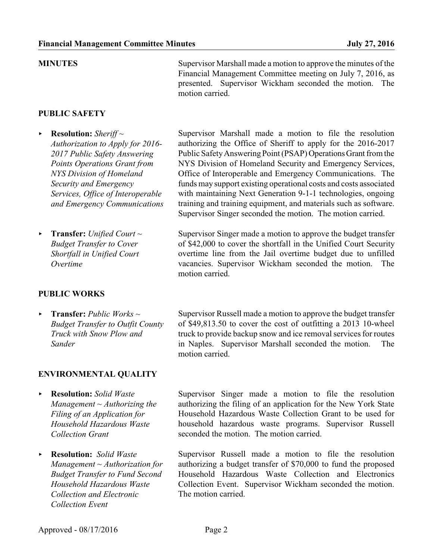**PUBLIC SAFETY**

- < **Resolution:** *Sheriff ~ Authorization to Apply for 2016- 2017 Public Safety Answering Points Operations Grant from NYS Division of Homeland Security and Emergency Services, Office of Interoperable and Emergency Communications*
- < **Transfer:** *Unified Court ~ Budget Transfer to Cover Shortfall in Unified Court Overtime*

### **PUBLIC WORKS**

< **Transfer:** *Public Works ~ Budget Transfer to Outfit County Truck with Snow Plow and Sander*

## **ENVIRONMENTAL QUALITY**

- < **Resolution:** *Solid Waste Management ~ Authorizing the Filing of an Application for Household Hazardous Waste Collection Grant*
- < **Resolution:** *Solid Waste Management ~ Authorization for Budget Transfer to Fund Second Household Hazardous Waste Collection and Electronic Collection Event*

**MINUTES** Supervisor Marshall made a motion to approve the minutes of the Financial Management Committee meeting on July 7, 2016, as presented. Supervisor Wickham seconded the motion. The motion carried.

> Supervisor Marshall made a motion to file the resolution authorizing the Office of Sheriff to apply for the 2016-2017 Public Safety Answering Point (PSAP) Operations Grant from the NYS Division of Homeland Security and Emergency Services, Office of Interoperable and Emergency Communications. The funds may support existing operational costs and costs associated with maintaining Next Generation 9-1-1 technologies, ongoing training and training equipment, and materials such as software. Supervisor Singer seconded the motion. The motion carried.

> Supervisor Singer made a motion to approve the budget transfer of \$42,000 to cover the shortfall in the Unified Court Security overtime line from the Jail overtime budget due to unfilled vacancies. Supervisor Wickham seconded the motion. The motion carried.

> Supervisor Russell made a motion to approve the budget transfer of \$49,813.50 to cover the cost of outfitting a 2013 10-wheel truck to provide backup snow and ice removal services for routes in Naples. Supervisor Marshall seconded the motion. The motion carried.

> Supervisor Singer made a motion to file the resolution authorizing the filing of an application for the New York State Household Hazardous Waste Collection Grant to be used for household hazardous waste programs. Supervisor Russell seconded the motion. The motion carried.

> Supervisor Russell made a motion to file the resolution authorizing a budget transfer of \$70,000 to fund the proposed Household Hazardous Waste Collection and Electronics Collection Event. Supervisor Wickham seconded the motion. The motion carried.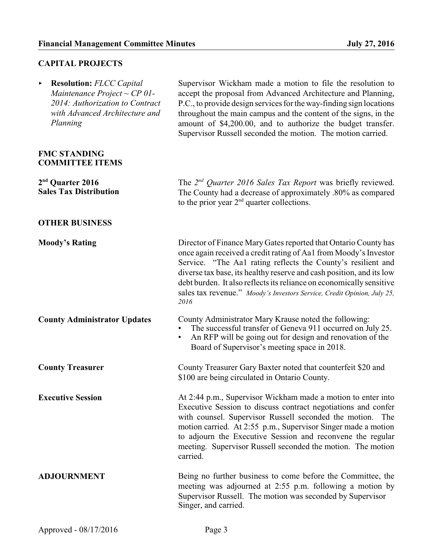# **CAPITAL PROJECTS**

| <b>Resolution: FLCC Capital</b><br>Maintenance Project ~ $CP$ 01-<br>2014: Authorization to Contract<br>with Advanced Architecture and<br>Planning | Supervisor Wickham made a motion to file the resolution to<br>accept the proposal from Advanced Architecture and Planning,<br>P.C., to provide design services for the way-finding sign locations<br>throughout the main campus and the content of the signs, in the<br>amount of \$4,200.00, and to authorize the budget transfer.<br>Supervisor Russell seconded the motion. The motion carried.                                     |
|----------------------------------------------------------------------------------------------------------------------------------------------------|----------------------------------------------------------------------------------------------------------------------------------------------------------------------------------------------------------------------------------------------------------------------------------------------------------------------------------------------------------------------------------------------------------------------------------------|
| <b>FMC STANDING</b><br><b>COMMITTEE ITEMS</b>                                                                                                      |                                                                                                                                                                                                                                                                                                                                                                                                                                        |
| 2 <sup>nd</sup> Quarter 2016<br><b>Sales Tax Distribution</b>                                                                                      | The $2^{nd}$ Quarter 2016 Sales Tax Report was briefly reviewed.<br>The County had a decrease of approximately .80% as compared<br>to the prior year $2nd$ quarter collections.                                                                                                                                                                                                                                                        |
| <b>OTHER BUSINESS</b>                                                                                                                              |                                                                                                                                                                                                                                                                                                                                                                                                                                        |
| <b>Moody's Rating</b>                                                                                                                              | Director of Finance Mary Gates reported that Ontario County has<br>once again received a credit rating of Aa1 from Moody's Investor<br>Service. "The Aa1 rating reflects the County's resilient and<br>diverse tax base, its healthy reserve and cash position, and its low<br>debt burden. It also reflects its reliance on economically sensitive<br>sales tax revenue." Moody's Investors Service, Credit Opinion, July 25,<br>2016 |
| <b>County Administrator Updates</b>                                                                                                                | County Administrator Mary Krause noted the following:<br>The successful transfer of Geneva 911 occurred on July 25.<br>An RFP will be going out for design and renovation of the<br>$\bullet$<br>Board of Supervisor's meeting space in 2018.                                                                                                                                                                                          |
| <b>County Treasurer</b>                                                                                                                            | County Treasurer Gary Baxter noted that counterfeit \$20 and<br>\$100 are being circulated in Ontario County.                                                                                                                                                                                                                                                                                                                          |
| <b>Executive Session</b>                                                                                                                           | At 2:44 p.m., Supervisor Wickham made a motion to enter into<br>Executive Session to discuss contract negotiations and confer<br>with counsel. Supervisor Russell seconded the motion.<br>The<br>motion carried. At 2:55 p.m., Supervisor Singer made a motion<br>to adjourn the Executive Session and reconvene the regular<br>meeting. Supervisor Russell seconded the motion. The motion<br>carried.                                |
| <b>ADJOURNMENT</b>                                                                                                                                 | Being no further business to come before the Committee, the<br>meeting was adjourned at 2:55 p.m. following a motion by<br>Supervisor Russell. The motion was seconded by Supervisor<br>Singer, and carried.                                                                                                                                                                                                                           |